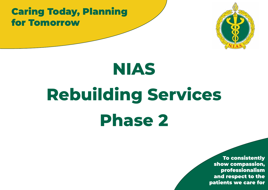### Caring Today, Planning for Tomorrow



## **NIAS**

# **Rebuilding Services Phase 2**

To consistently show compassion, professionalism and respect to the patients we care for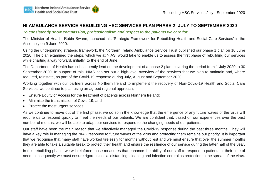#### **NI AMBULANCE SERVICE REBUILDING HSC SERVICES PLAN PHASE 2- JULY TO SEPTEMBER 2020**

#### *To consistently show compassion, professionalism and respect to the patients we care for.*

The Minister of Health, Robin Swann, launched his 'Strategic Framework for Rebuilding Health and Social Care Services' in the Assembly on 9 June 2020.

Using the underpinning strategic framework, the Northern Ireland Ambulance Service Trust published our phase 1 plan on 10 June 2020. The plan examined the steps, which we at NIAS, would take to enable us to assess the first phase of rebuilding our services while charting a way forward, initially, to the end of June.

The Department of Health has subsequently lead on the development of a phase 2 plan, covering the period from 1 July 2020 to 30 September 2020. In support of this, NIAS has set out a high-level overview of the services that we plan to maintain and, where required, reinstate, as part of the Covid-19 response during July, August and September 2020.

Working together with our partners across Northern Ireland to implement the recovery of Non-Covid-19 Health and Social Care Services, we continue to plan using an agreed regional approach,

- Ensure Equity of Access for the treatment of patients across Northern Ireland;
- Minimise the transmission of Covid-19; and
- Protect the most urgent services.

As we continue to move out of the first phase, we do so in the knowledge that the emergence of any future waves of the virus will require us to respond quickly to meet the needs of our patients. We are confident that, based on our experiences over the past number of months, we will be able to adapt our services to respond to the changing needs of our patients.

Our staff have been the main reason that we effectively managed the Covid-19 response during the past three months. They will have a key role in managing the NIAS response to future waves of the virus and protecting them remains our priority. It is important that we recognise that many staff have worked tirelessly for months without rest and we must ensure that over the summer months they are able to take a suitable break to protect their health and ensure the resilience of our service during the latter half of the year.

In this rebuilding phase, we will reinforce those measures that enhance the ability of our staff to respond to patients at their time of need, consequently we must ensure rigorous social distancing, cleaning and infection control as protection to the spread of the virus.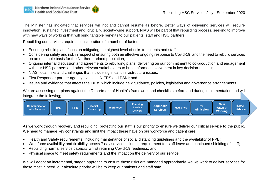The Minister has indicated that services will not and cannot resume as before. Better ways of delivering services will require innovation, sustained investment and, crucially, society-wide support. NIAS will be part of that rebuilding process, seeking to improve with new ways of working that will bring tangible benefits to our patients, staff and HSC partners.

Rebuilding our services requires consideration of a number of factors:

- Ensuring rebuild plans focus on mitigating the highest level of risks to patients and staff;
- Considering safety and risk in respect of ensuring both an effective ongoing response to Covid-19, and the need to rebuild services on an equitable basis for the Northern Ireland population;
- Ongoing internal discussion and agreements to rebuilding plans, delivering on our commitment to co-production and engagement with our HSC partners and other relevant stakeholders to bring informed involvement in key decision-making;
- NIAS' local risks and challenges that include significant infrastructure issues;
- First Responder partner agency plans i.e. NIFRS and PSNI; and
- Issues and evidence that affects the Trust, which include new guidance, policies, legislation and governance arrangements.

We are assessing our plans against the Department of Health's framework and checklists before and during implementation and will integrate the following;



As we work through recovery and rebuilding, protecting our staff is our priority to ensure we deliver our critical service to the public. We need to manage key constraints and limit the impact these have on our workforce and patient care;

- Health and Safety requirements, including maintenance of social distancing guidelines and the availability of PPE;
- Workforce availability and flexibility across 7 day service including requirement for staff leave and continued shielding of staff;
- Rebuilding normal service capacity whilst retaining Covid-19 readiness; and
- Physical space to meet safety requirements and the impact on the delivery of our service.

We will adopt an incremental, staged approach to ensure these risks are managed appropriately. As we work to deliver services for those most in need, our absolute priority will be to keep our patients and staff safe.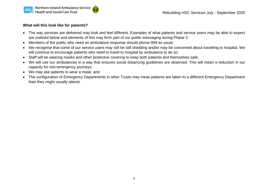#### **What will this look like for patients?**

- The way services are delivered may look and feel different. Examples of what patients and service users may be able to expect are outlined below and elements of this may form part of our public messaging during Phase 2:
- Members of the public who need an ambulance response should phone 999 as usual;
- We recognise that some of our service users may still be still shielding and/or may be concerned about travelling to hospital. We will continue to encourage patients who need to travel to hospital by ambulance to do so;
- Staff will be wearing masks and other protective covering to keep both patients and themselves safe;
- We will use our ambulances in a way that ensures social distancing guidelines are observed. This will mean a reduction in our capacity for non-emergency journeys;
- We may ask patients to wear a mask; and
- The configuration of Emergency Departments in other Trusts may mean patients are taken to a different Emergency Department than they might usually attend.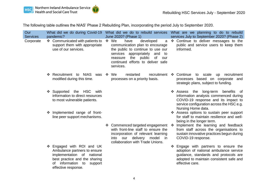The following table outlines the NIAS' Phase 2 Rebuilding Plan, incorporating the period July to September 2020.

| Our<br><b>Services</b> | What did we do during Covid-19<br>pandemic?                                                                                                                                     | What did we do to rebuild services<br>June 2020? (Phase 1)                                                                                                                                                                                     |   | What are we planning to do to rebuild<br>services July to September 2020? (Phase 2)                                                                                                                                                                                     |
|------------------------|---------------------------------------------------------------------------------------------------------------------------------------------------------------------------------|------------------------------------------------------------------------------------------------------------------------------------------------------------------------------------------------------------------------------------------------|---|-------------------------------------------------------------------------------------------------------------------------------------------------------------------------------------------------------------------------------------------------------------------------|
| Corporate              | ❖ Communicated with patients to<br>support them with appropriate<br>use of our services.                                                                                        | $\div$ We<br>have<br>developed<br>a<br>communication plan to encourage<br>the public to continue to use our<br>services<br>appropriately<br>and<br>to<br>the public<br>of<br>our<br>reassure<br>continued efforts to deliver safe<br>services. |   | ❖ Continue to deliver messages to the<br>public and service users to keep them<br>informed.                                                                                                                                                                             |
|                        | ❖ Recruitment to NIAS<br>was<br>modified during this time.                                                                                                                      | recruitment<br>❖ We<br>restarted<br>processes on a priority basis.                                                                                                                                                                             |   | ❖ Continue<br>to scale up recruitment<br>processes based on corporate and<br>strategic plans, subject to funding.                                                                                                                                                       |
|                        | ❖ Supported the HSC<br>with<br>information to direct resources<br>to most vulnerable patients.                                                                                  |                                                                                                                                                                                                                                                |   | ❖ Assess the long-term benefits of<br>information analysis commenced during<br>COVID-19 response and its impact to<br>service configuration across the HSC e.g.<br>Nursing Home data.                                                                                   |
|                        | Implemented range of front-<br>line peer support mechanisms.                                                                                                                    | ❖ Commenced targeted engagement<br>with front-line staff to ensure the<br>incorporation of relevant learning<br>delivery model in<br>into our<br>collaboration with Trade Unions.                                                              | ❖ | ❖ Assess options to sustain peer support<br>for staff to maintain resilience and well-<br>being in the longer term.<br>Implement the learning and feedback<br>from staff across the organisations to<br>sustain innovative practices begun during<br>COVID-19 response. |
|                        | ❖ Engaged with ROI and UK<br>Ambulance partners to ensure<br>implementation of national<br>best practice and the sharing<br>of information to<br>support<br>effective response. |                                                                                                                                                                                                                                                |   | Engage with partners to ensure the<br>adoption of national ambulance service<br>guidance, standards and protocols are<br>adopted to maintain consistent safe and<br>effective care.                                                                                     |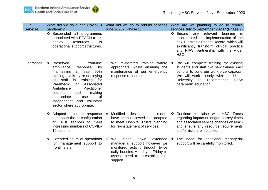



| Our<br><b>Services</b> | pandemic?                                                                                                                                                                                                                                                                                                                                                  | What did we do during Covid-19 What did we do to rebuild services<br>June 2020? (Phase 1)                                                                                          | What are we planning to do to rebuild<br>services July to September 2020? (Phase 2)                                                                                                                                                      |
|------------------------|------------------------------------------------------------------------------------------------------------------------------------------------------------------------------------------------------------------------------------------------------------------------------------------------------------------------------------------------------------|------------------------------------------------------------------------------------------------------------------------------------------------------------------------------------|------------------------------------------------------------------------------------------------------------------------------------------------------------------------------------------------------------------------------------------|
|                        | Suspended all programmes<br>associated with REACH to re-<br>deploy<br>to<br>resources<br>operational support structures.                                                                                                                                                                                                                                   |                                                                                                                                                                                    | ❖ Ensure<br>any relevant<br>learning<br>is is<br>incorporated into implementation of the<br>new Electronic Patient Record, which will<br>significantly transform clinical practice<br>and NIAS' partnership with the wider<br>HSC.       |
| Operations             | ❖ Preserved<br>front-line<br>ambulance<br>by<br>response<br>maintaining<br>at least 90%<br>staffing levels by re-deploying<br>all staff<br>in in<br>training<br>for<br>Paramedic<br>Associated<br><b>or</b><br>Ambulance<br>Practitioner<br>and<br>making<br>courses<br>0f<br>appropriate<br>use<br>independent and voluntary<br>sector where appropriate. | We re-instated training where<br>豪<br>appropriate whilst ensuring the<br>maintenance of our emergency<br>response resources.                                                       | We will complete training for existing<br>❖<br>students and start two new trainee AAP<br>cohorts to build our workforce capacity.<br>We will work closely with the Ulster<br>FdSc<br>University to<br>recommence<br>paramedic education. |
|                        | ❖ Adapted ambulance response<br>to support the re-configuration<br>of Trust services to meet<br>increasing numbers of COVID-<br>19 patients.                                                                                                                                                                                                               | ❖ Modified<br>destination<br>have been reviewed and adapted<br>to meet Hospital Trusts planning<br>for re-instatement of services.                                                 | protocols $\div$ Continue to liaise with HSC Trusts<br>regarding impact of longer journey times<br>and associated service changes on NIAS<br>and ensure any resource requirements<br>and/or risks are identified.                        |
|                        | ❖ Extended hours of operations ❖ We<br>for management support to<br>frontline staff.                                                                                                                                                                                                                                                                       | stood<br>down<br>extended<br>managerial support however we<br>monitored activity through twice<br>daily huddles Monday - Friday to<br>assess need to re-establish this<br>support. | The need for additional managerial<br>❖<br>support will be carefully monitored.                                                                                                                                                          |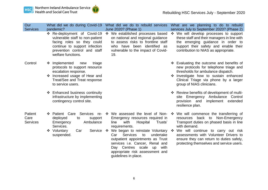

| Our<br><b>Services</b>             | What did we do during Covid-19<br>pandemic?<br>❖ Re-deployment of Covid-19<br>vulnerable staff to non-patient<br>facing roles so they could<br>continue to support infection<br>prevention control and staff<br>welfare functions.                                             | What did we do to rebuild services<br>June 2020? (Phase 1)<br>❖ We established processes based<br>on national and regional guidance<br>to assess risks to frontline staff<br>who have been identified as<br>vulnerable to the impact of Covid-<br>19.                                                                                                                               | What are we planning to do to rebuild<br>services July to September 2020? (Phase 2)<br>❖ We will develop processes to support<br>these staff and their managers in line with<br>the emerging guidance in order to<br>support their safety and enable their<br>contribution to NIAS as appropriate.                                                                                      |
|------------------------------------|--------------------------------------------------------------------------------------------------------------------------------------------------------------------------------------------------------------------------------------------------------------------------------|-------------------------------------------------------------------------------------------------------------------------------------------------------------------------------------------------------------------------------------------------------------------------------------------------------------------------------------------------------------------------------------|-----------------------------------------------------------------------------------------------------------------------------------------------------------------------------------------------------------------------------------------------------------------------------------------------------------------------------------------------------------------------------------------|
| Control                            | ❖ Implemented<br>triage<br>new<br>protocols to support resource<br>escalation response.<br>❖ Increased usage of Hear and<br>Treat/See and Treat response<br>to service users.<br>❖ Enhanced business continuity<br>infrastructure by implementing<br>contingency control site. |                                                                                                                                                                                                                                                                                                                                                                                     | ❖ Evaluating the outcome and benefits of<br>new protocols for telephone triage and<br>thresholds for ambulance dispatch.<br>• Investigate how to sustain enhanced<br>Clinical Triage via phone by a larger<br>group of NIAS clinicians.<br>❖ Review benefits of development of multi-<br>site Emergency Ambulance Control<br>provision and<br>implement<br>extended<br>resilience plan. |
| Patient<br>Care<br><b>Services</b> | ❖ Patient Care<br>Services re-<br>deployed<br>to<br>support<br>Ambulance<br>Emergency<br>Services.<br>Car<br>Service<br>❖ Voluntary<br>suspended.                                                                                                                              | ❖ We assessed the level of Non-<br>Emergency resources required in<br>with<br>Hospital<br>Trusts'<br>line<br>requirements.<br>We began to reinstate Voluntary<br>- 臺<br><b>Services</b><br>to<br>Car<br>undertake<br>outpatient appointments as Trust<br>services i.e. Cancer, Renal and<br>Day Centres scale up<br>with<br>appropriate risk assessment and<br>guidelines in place. | ❖ We will commence the transferring of<br>back to Non-Emergency<br>resources<br>Transport duties on phased basis in line<br>with demand.<br>We will continue to carry out risk<br>$\cdot$<br>assessments with Volunteer Drivers to<br>ensure they can return to duties safely,<br>protecting themselves and service users.                                                              |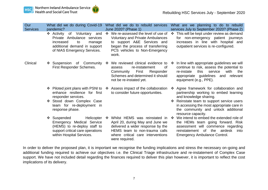

| Our<br><b>Services</b> | What did we do during Covid-19<br>pandemic?                                                                                                                 | What did we do to rebuild services<br>June 2020? (Phase 1)                                                                                                                                          | What are we planning to do to rebuild<br>services July to September 2020? (Phase 2)                                                                                                                            |
|------------------------|-------------------------------------------------------------------------------------------------------------------------------------------------------------|-----------------------------------------------------------------------------------------------------------------------------------------------------------------------------------------------------|----------------------------------------------------------------------------------------------------------------------------------------------------------------------------------------------------------------|
|                        | ❖ Activity<br>of Voluntary<br>and<br>Private Ambulance services<br>increased<br>to<br>manage<br>additional demand in support<br>of NIAS Emergency Services. | ❖ We re-assessed the level of use of<br><b>Voluntary and Private Ambulances</b><br>to support A&E Services and<br>began the process of transferring<br>PCS vehicles to Non-Emergency<br>work.       | ❖ This will be kept under review as demand<br>for non-emergency patient journeys<br>increases in line with hospital and<br>outpatient services is re-configured.                                               |
| Clinical               | ❖ Suspension of Community<br>First Responder Schemes.                                                                                                       | We reviewed clinical evidence to<br>❖<br>re-instatement<br>οf<br>assess<br>First<br>Responder<br>Community<br>Schemes and determined it should<br>not be re-instated yet.                           | In line with appropriate guidelines we will<br>❖<br>continue to risk, assess the potential to<br>this<br>service<br>with<br>re-instate<br>the<br>appropriate guidelines and relevant<br>equipment (e.g., PPE). |
|                        | ❖ Piloted joint plans with PSNI to<br>enhance resilience for first<br>responder services.                                                                   | Assess impact of the collaboration<br>❖<br>to consider future opportunities.                                                                                                                        | Agree framework for collaboration and<br>❖<br>partnership working to embed learning<br>and knowledge sharing.                                                                                                  |
|                        | Stood down Complex Case<br>team for re-deployment in<br>response phase.                                                                                     |                                                                                                                                                                                                     | Reinstate team to support service users<br>❖<br>in accessing the most appropriate care in<br>the community and unlock additional<br>resource capacity.                                                         |
|                        | ❖ Suspended<br>Helicopter<br>Emergency Medical Service<br>(HEMS) to re-deploy staff to<br>support critical care operations<br>within Hospital Services.     | Whilst HEMS was reinstated in<br>❖<br>April 20, during May and June we<br>delivered a wider response by the<br>HEMS team to non-trauma calls<br>where critical care interventions<br>were required. | We intend to embed the extended role of<br>$\cdot$<br>the HEMs team going forward. Risk<br>assessment will commence regarding<br>reinstatement of the airdesk<br>into<br><b>Emergency Ambulance Control.</b>   |

In order to deliver the proposed plan, it is important we recognise the funding implications and stress the necessary on-going and additional funding required to achieve our objectives i.e. the Clinical Triage infrastructure and re-instatement of Complex Case support. We have not included detail regarding the finances required to deliver this plan however, it is important to reflect the cost implications of its delivery.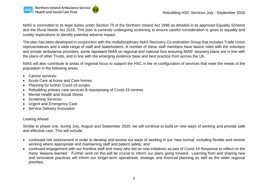NIAS is committed to its legal duties under Section 75 of the Northern Ireland Act 1998 as detailed in its approved Equality Scheme and the Rural Needs Act 2016. This plan is currently undergoing screening to ensure careful consideration is given to equality and rurality implications to identify potential adverse impact.

The plan has been developed in conjunction with the multidisciplinary NIAS Recovery Co-ordination Group that includes Trade Union representatives and a wide range of staff and stakeholders. A number of these staff members have liaison roles with the voluntary and private ambulance providers; some represent NIAS on regional and national fora ensuring NIAS' recovery plans are in line with the plans of other Trusts, and in line with the emerging evidence base and best practice from across the UK.

NIAS will also contribute to areas of regional focus to support the HSC in the re-configuration of services that meet the needs of the population in the following areas;

- Cancer services:
- Acute Care at home and Care homes
- Planning for further Covid-19 surges
- Rebuilding primary care services & repurposing of Covid-19 centres
- Mental Health and Social Stress
- Screening Services
- Urgent and Emergency Care
- Service Delivery Innovation

#### Looking Ahead

Similar to phase one, during July, August and September 2020, we will continue to build on new ways of working and provide safe and effective care. This will include;

- continued risk assessment in order to develop and evolve our ways of working in our 'new normal' including flexible and remote working where appropriate and maintaining staff and patient safety; and
- continued engagement with our frontline staff and many who led on new initiatives as part of Covid-19 Response to reflect on the many 'lessons learned.' Further work on this will be crucial to inform our plans going forward. Learning from and sharing new and innovative practices will inform our longer-term operational, strategic and financial planning as well as the wider regional priorities.